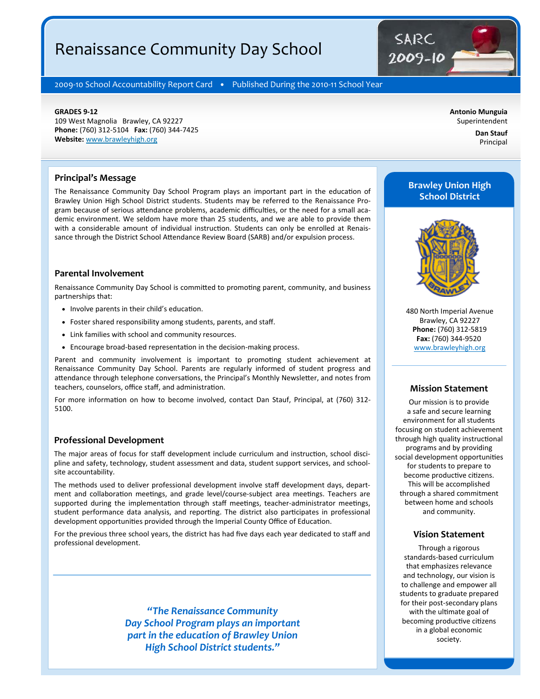# Renaissance Community Day School



2009-10 School Accountability Report Card · Published During the 2010-11 School Year

#### **GRADES 9‐12**

109 West Magnolia Brawley, CA 92227 **Phone:** (760) 312-5104 **Fax:** (760) 344-7425 **Website:** www.brawleyhigh.org

**Antonio Munguia**  Superintendent

> **Dan Stauf**  Principal

#### **Principal's Message**

The Renaissance Community Day School Program plays an important part in the education of Brawley Union High School District students. Students may be referred to the Renaissance Program because of serious attendance problems, academic difficulties, or the need for a small academic environment. We seldom have more than 25 students, and we are able to provide them with a considerable amount of individual instruction. Students can only be enrolled at Renaissance through the District School Attendance Review Board (SARB) and/or expulsion process.

## **Parental Involvement**

Renaissance Community Day School is committed to promoting parent, community, and business partnerships that:

- Involve parents in their child's education.
- Foster shared responsibility among students, parents, and staff.
- Link families with school and community resources.
- Encourage broad-based representation in the decision-making process.

Parent and community involvement is important to promoting student achievement at Renaissance Community Day School. Parents are regularly informed of student progress and attendance through telephone conversations, the Principal's Monthly Newsletter, and notes from teachers, counselors, office staff, and administration.

For more information on how to become involved, contact Dan Stauf, Principal, at (760) 312-5100.

#### **Professional Development**

The major areas of focus for staff development include curriculum and instruction, school discipline and safety, technology, student assessment and data, student support services, and schoolsite accountability.

The methods used to deliver professional development involve staff development days, department and collaboration meetings, and grade level/course-subject area meetings. Teachers are supported during the implementation through staff meetings, teacher-administrator meetings, student performance data analysis, and reporting. The district also participates in professional development opportunities provided through the Imperial County Office of Education.

For the previous three school years, the district has had five days each year dedicated to staff and professional development.

> *"The Renaissance Community Day School Program plays an important part in the education of Brawley Union High School District students."*

# **Brawley Union High School District**



480 North Imperial Avenue Brawley, CA 92227 **Phone:** (760) 312-5819 **Fax:** (760) 344-9520 www.brawleyhigh.org

#### **Mission Statement**

Our mission is to provide a safe and secure learning environment for all students focusing on student achievement through high quality instructional programs and by providing social development opportunities for students to prepare to become productive citizens. This will be accomplished through a shared commitment between home and schools and community.

#### **Vision Statement**

Through a rigorous standards-based curriculum that emphasizes relevance and technology, our vision is to challenge and empower all students to graduate prepared for their post-secondary plans with the ultimate goal of becoming productive citizens in a global economic society.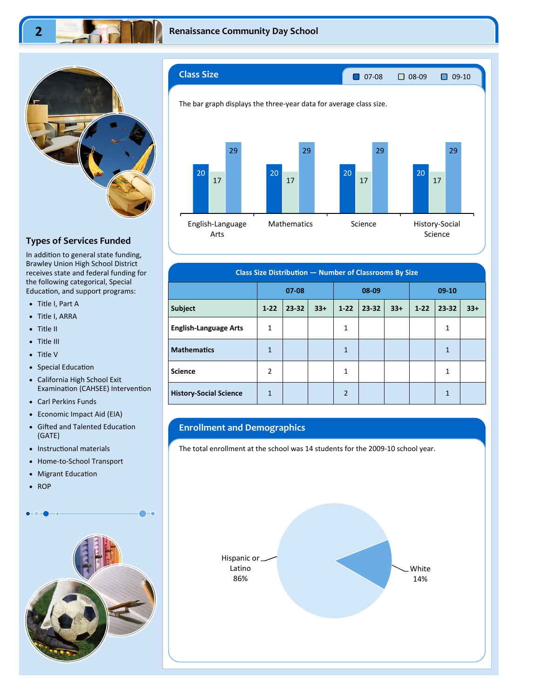

## **Types of Services Funded**

In addition to general state funding, Brawley Union High School District receives state and federal funding for the following categorical, Special Education, and support programs:

- Title I, Part A
- Title I, ARRA
- Title II
- Title III
- Title V
- Special Education
- California High School Exit Examination (CAHSEE) Intervention
- Carl Perkins Funds
- Economic Impact Aid (EIA)
- Gifted and Talented Education (GATE)
- Instructional materials
- Home-to-School Transport
- Migrant Education
- $\bullet$  ROP





| <b>Class Size Distribution - Number of Classrooms By Size</b> |                |       |       |                |       |         |          |              |       |
|---------------------------------------------------------------|----------------|-------|-------|----------------|-------|---------|----------|--------------|-------|
|                                                               | $07 - 08$      |       | 08-09 |                |       | $09-10$ |          |              |       |
| <b>Subject</b>                                                | $1-22$         | 23-32 | $33+$ | $1 - 22$       | 23-32 | $33+$   | $1 - 22$ | 23-32        | $33+$ |
| <b>English-Language Arts</b>                                  | 1              |       |       | $\mathbf{1}$   |       |         |          | 1            |       |
| <b>Mathematics</b>                                            | 1              |       |       | $\mathbf{1}$   |       |         |          | $\mathbf{1}$ |       |
| <b>Science</b>                                                | $\overline{2}$ |       |       | $\mathbf{1}$   |       |         |          | $\mathbf{1}$ |       |
| <b>History-Social Science</b>                                 | 1              |       |       | $\overline{2}$ |       |         |          | 1            |       |

## **Enrollment and Demographics**

The total enrollment at the school was 14 students for the 2009-10 school year.

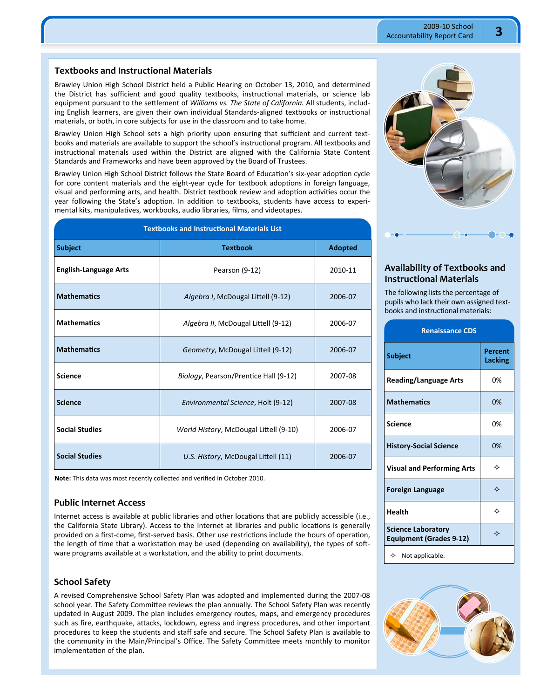## **Textbooks and Instructional Materials**

Brawley Union High School District held a Public Hearing on October 13, 2010, and determined the District has sufficient and good quality textbooks, instructional materials, or science lab equipment pursuant to the settlement of *Williams vs. The State of California.* All students, including English learners, are given their own individual Standards-aligned textbooks or instructional materials, or both, in core subjects for use in the classroom and to take home.

Brawley Union High School sets a high priority upon ensuring that sufficient and current textbooks and materials are available to support the school's instructional program. All textbooks and instructional materials used within the District are aligned with the California State Content Standards and Frameworks and have been approved by the Board of Trustees.

Brawley Union High School District follows the State Board of Education's six-year adoption cycle for core content materials and the eight-year cycle for textbook adoptions in foreign language, visual and performing arts, and health. District textbook review and adoption activities occur the year following the State's adoption. In addition to textbooks, students have access to experimental kits, manipulatives, workbooks, audio libraries, films, and videotapes.

| <b>Textbooks and Instructional Materials List</b> |                                        |                |  |  |  |  |  |
|---------------------------------------------------|----------------------------------------|----------------|--|--|--|--|--|
| <b>Subject</b>                                    | <b>Textbook</b>                        | <b>Adopted</b> |  |  |  |  |  |
| <b>English-Language Arts</b>                      | Pearson (9-12)                         | 2010-11        |  |  |  |  |  |
| <b>Mathematics</b>                                | Algebra I, McDougal Littell (9-12)     | 2006-07        |  |  |  |  |  |
| <b>Mathematics</b>                                | Algebra II, McDougal Littell (9-12)    | 2006-07        |  |  |  |  |  |
| <b>Mathematics</b>                                | Geometry, McDougal Littell (9-12)      | 2006-07        |  |  |  |  |  |
| <b>Science</b>                                    | Biology, Pearson/Prentice Hall (9-12)  | 2007-08        |  |  |  |  |  |
| <b>Science</b>                                    | Environmental Science, Holt (9-12)     | 2007-08        |  |  |  |  |  |
| <b>Social Studies</b>                             | World History, McDougal Littell (9-10) | 2006-07        |  |  |  |  |  |
| <b>Social Studies</b>                             | U.S. History, McDougal Littell (11)    | 2006-07        |  |  |  |  |  |

**Note:** This data was most recently collected and verified in October 2010.

#### **Public Internet Access**

Internet access is available at public libraries and other locations that are publicly accessible (i.e., the California State Library). Access to the Internet at libraries and public locations is generally provided on a first-come, first-served basis. Other use restrictions include the hours of operation, the length of time that a workstation may be used (depending on availability), the types of software programs available at a workstation, and the ability to print documents.

## **School Safety**

A revised Comprehensive School Safety Plan was adopted and implemented during the 2007-08 school year. The Safety Committee reviews the plan annually. The School Safety Plan was recently updated in August 2009. The plan includes emergency routes, maps, and emergency procedures such as fire, earthquake, attacks, lockdown, egress and ingress procedures, and other important procedures to keep the students and staff safe and secure. The School Safety Plan is available to the community in the Main/Principal's Office. The Safety Committee meets monthly to monitor implementation of the plan.



## **Availability of Textbooks and Instructional Materials**

The following lists the percentage of pupils who lack their own assigned textbooks and instructional materials:

| <b>Renaissance CDS</b>                               |                    |
|------------------------------------------------------|--------------------|
| <b>Subject</b>                                       | Percent<br>Lacking |
| <b>Reading/Language Arts</b>                         | 0%                 |
| <b>Mathematics</b>                                   | 0%                 |
| <b>Science</b>                                       | 0%                 |
| <b>History-Social Science</b>                        | 0%                 |
| <b>Visual and Performing Arts</b>                    | ✧                  |
| <b>Foreign Language</b>                              | ✧                  |
| Health                                               | ✧                  |
| <b>Science Laboratory</b><br>Equipment (Grades 9-12) | ✧                  |
| $\Leftrightarrow$ Not applicable.                    |                    |

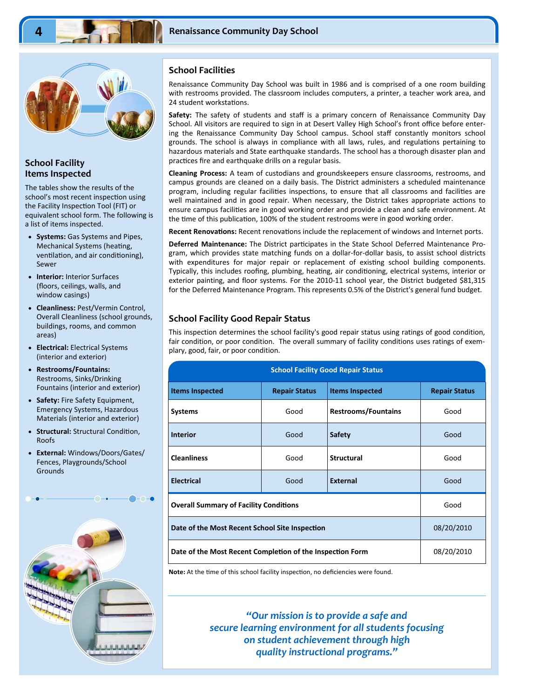

## **School Facility Items Inspected**

The tables show the results of the school's most recent inspection using the Facility Inspection Tool (FIT) or equivalent school form. The following is a list of items inspected.

- **Systems:** Gas Systems and Pipes, Mechanical Systems (heating, ventilation, and air conditioning), Sewer
- **Interior:** Interior Surfaces (floors, ceilings, walls, and window casings)
- **Cleanliness:** Pest/Vermin Control, Overall Cleanliness (school grounds, buildings, rooms, and common areas)
- **Electrical:** Electrical Systems (interior and exterior)
- **Restrooms/Fountains:**  Restrooms, Sinks/Drinking Fountains (interior and exterior)
- **Safety:** Fire Safety Equipment, Emergency Systems, Hazardous Materials (interior and exterior)
- **Structural: Structural Condition,** Roofs
- **External:** Windows/Doors/Gates/ Fences, Playgrounds/School Grounds



## **School Facilities**

Renaissance Community Day School was built in 1986 and is comprised of a one room building with restrooms provided. The classroom includes computers, a printer, a teacher work area, and 24 student workstations.

**Safety:** The safety of students and staff is a primary concern of Renaissance Community Day School. All visitors are required to sign in at Desert Valley High School's front office before entering the Renaissance Community Day School campus. School staff constantly monitors school grounds. The school is always in compliance with all laws, rules, and regulations pertaining to hazardous materials and State earthquake standards. The school has a thorough disaster plan and practices fire and earthquake drills on a regular basis.

**Cleaning Process:** A team of custodians and groundskeepers ensure classrooms, restrooms, and campus grounds are cleaned on a daily basis. The District administers a scheduled maintenance program, including regular facilities inspections, to ensure that all classrooms and facilities are well maintained and in good repair. When necessary, the District takes appropriate actions to ensure campus facilities are in good working order and provide a clean and safe environment. At the time of this publication, 100% of the student restrooms were in good working order.

Recent Renovations: Recent renovations include the replacement of windows and Internet ports.

**Deferred Maintenance:** The District participates in the State School Deferred Maintenance Program, which provides state matching funds on a dollar-for-dollar basis, to assist school districts with expenditures for major repair or replacement of existing school building components. Typically, this includes roofing, plumbing, heating, air conditioning, electrical systems, interior or exterior painting, and floor systems. For the 2010-11 school year, the District budgeted \$81,315 for the Deferred Maintenance Program. This represents 0.5% of the District's general fund budget.

### **School Facility Good Repair Status**

This inspection determines the school facility's good repair status using ratings of good condition, fair condition, or poor condition. The overall summary of facility conditions uses ratings of exemplary, good, fair, or poor condition.

| <b>School Facility Good Repair Status</b>                 |                      |                            |                      |  |  |  |
|-----------------------------------------------------------|----------------------|----------------------------|----------------------|--|--|--|
| <b>Items Inspected</b>                                    | <b>Repair Status</b> | <b>Items Inspected</b>     | <b>Repair Status</b> |  |  |  |
| <b>Systems</b>                                            | Good                 | <b>Restrooms/Fountains</b> | Good                 |  |  |  |
| <b>Interior</b>                                           | Good                 | <b>Safety</b>              | Good                 |  |  |  |
| <b>Cleanliness</b>                                        | Good                 | <b>Structural</b>          | Good                 |  |  |  |
| <b>Electrical</b>                                         | Good                 | <b>External</b>            | Good                 |  |  |  |
| <b>Overall Summary of Facility Conditions</b>             |                      |                            | Good                 |  |  |  |
| Date of the Most Recent School Site Inspection            |                      |                            | 08/20/2010           |  |  |  |
| Date of the Most Recent Completion of the Inspection Form |                      |                            | 08/20/2010           |  |  |  |

Note: At the time of this school facility inspection, no deficiencies were found.

*"Our mission is to provide a safe and secure learning environment for all students focusing on student achievement through high quality instructional programs."*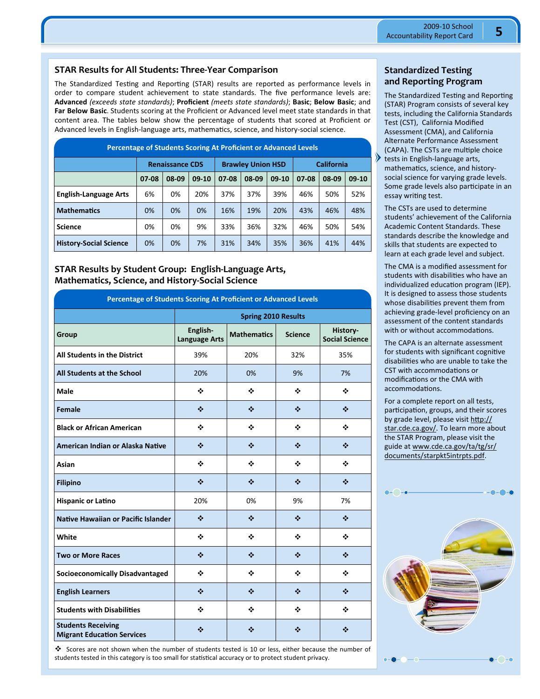## **STAR Results for All Students: Three‐Year Comparison**

The Standardized Testing and Reporting (STAR) results are reported as performance levels in order to compare student achievement to state standards. The five performance levels are: **Advanced** *(exceeds state standards)*; **Proficient** *(meets state standards)*; **Basic**; **Below Basic**; and **Far Below Basic**. Students scoring at the Proficient or Advanced level meet state standards in that content area. The tables below show the percentage of students that scored at Proficient or Advanced levels in English-language arts, mathematics, science, and history-social science.

| <b>Percentage of Students Scoring At Proficient or Advanced Levels</b> |                        |       |         |                          |       |         |            |       |         |  |
|------------------------------------------------------------------------|------------------------|-------|---------|--------------------------|-------|---------|------------|-------|---------|--|
|                                                                        | <b>Renaissance CDS</b> |       |         | <b>Brawley Union HSD</b> |       |         | California |       |         |  |
|                                                                        | 07-08                  | 08-09 | $09-10$ | 07-08                    | 08-09 | $09-10$ | 07-08      | 08-09 | $09-10$ |  |
| <b>English-Language Arts</b>                                           | 6%                     | 0%    | 20%     | 37%                      | 37%   | 39%     | 46%        | 50%   | 52%     |  |
| <b>Mathematics</b>                                                     | 0%                     | 0%    | 0%      | 16%                      | 19%   | 20%     | 43%        | 46%   | 48%     |  |
| <b>Science</b>                                                         | 0%                     | 0%    | 9%      | 33%                      | 36%   | 32%     | 46%        | 50%   | 54%     |  |
| <b>History-Social Science</b>                                          | 0%                     | 0%    | 7%      | 31%                      | 34%   | 35%     | 36%        | 41%   | 44%     |  |

**STAR Results by Student Group: English‐Language Arts, Mathematics, Science, and History‐Social Science** 

| Percentage of Students Scoring At Proficient or Advanced Levels |                                  |                    |                                           |                                   |  |  |  |  |
|-----------------------------------------------------------------|----------------------------------|--------------------|-------------------------------------------|-----------------------------------|--|--|--|--|
|                                                                 | <b>Spring 2010 Results</b>       |                    |                                           |                                   |  |  |  |  |
| Group                                                           | English-<br><b>Language Arts</b> | <b>Mathematics</b> | <b>Science</b>                            | History-<br><b>Social Science</b> |  |  |  |  |
| <b>All Students in the District</b>                             | 39%                              | 20%                | 32%                                       | 35%                               |  |  |  |  |
| All Students at the School                                      | 20%                              | 0%                 | 9%                                        | 7%                                |  |  |  |  |
| <b>Male</b>                                                     | ❖                                | ❖                  | ❖                                         | ❖                                 |  |  |  |  |
| <b>Female</b>                                                   | ❖                                | ❖                  | ❖                                         | ❖                                 |  |  |  |  |
| <b>Black or African American</b>                                | ❖                                | ❖                  | ❖                                         | ٠                                 |  |  |  |  |
| American Indian or Alaska Native                                | ❖                                | ❖                  | $\mathbf{r}^{\star}_{\mathbf{r}^{\star}}$ | ❖                                 |  |  |  |  |
| Asian                                                           | ❖                                | ❖                  | ÷                                         | ❖                                 |  |  |  |  |
| <b>Filipino</b>                                                 | ❖                                | ❖                  | ❖                                         | $\mathcal{L}_{\mathcal{C}}$       |  |  |  |  |
| <b>Hispanic or Latino</b>                                       | 20%                              | 0%                 | 9%                                        | 7%                                |  |  |  |  |
| Native Hawaiian or Pacific Islander                             | ❖                                | ❖                  | ❖                                         | ❖                                 |  |  |  |  |
| White                                                           | ❖                                | ❖                  | ❖                                         | ❖                                 |  |  |  |  |
| <b>Two or More Races</b>                                        | ❖                                | ❖                  | ❖                                         | ❖                                 |  |  |  |  |
| <b>Socioeconomically Disadvantaged</b>                          | ❖                                | ❖                  | ÷                                         | ❖                                 |  |  |  |  |
| <b>English Learners</b>                                         | ❖                                | ❖                  | ❖                                         | $\phi^*_{\mathbf{k}^*}$           |  |  |  |  |
| <b>Students with Disabilities</b>                               | ❖                                | ❖                  | ÷                                         | ❖                                 |  |  |  |  |
| <b>Students Receiving</b><br><b>Migrant Education Services</b>  | ❖                                | ❖                  | ❖                                         | ❖                                 |  |  |  |  |

 Scores are not shown when the number of students tested is 10 or less, either because the number of students tested in this category is too small for statistical accuracy or to protect student privacy.

## **Standardized Testing and Reporting Program**

The Standardized Testing and Reporting (STAR) Program consists of several key tests, including the California Standards Test (CST), California Modified Assessment (CMA), and California Alternate Performance Assessment (CAPA). The CSTs are multiple choice tests in English-language arts, mathematics, science, and historysocial science for varying grade levels. Some grade levels also participate in an essay writing test.

The CSTs are used to determine students' achievement of the California Academic Content Standards. These standards describe the knowledge and skills that students are expected to learn at each grade level and subject.

The CMA is a modified assessment for students with disabilities who have an individualized education program (IEP). It is designed to assess those students whose disabilities prevent them from achieving grade-level proficiency on an assessment of the content standards with or without accommodations.

The CAPA is an alternate assessment for students with significant cognitive disabilities who are unable to take the CST with accommodations or modifications or the CMA with accommodations.

For a complete report on all tests, participation, groups, and their scores by grade level, please visit http:// star.cde.ca.gov/. To learn more about the STAR Program, please visit the guide at www.cde.ca.gov/ta/tg/sr/ documents/starpkt5intrpts.pdf.

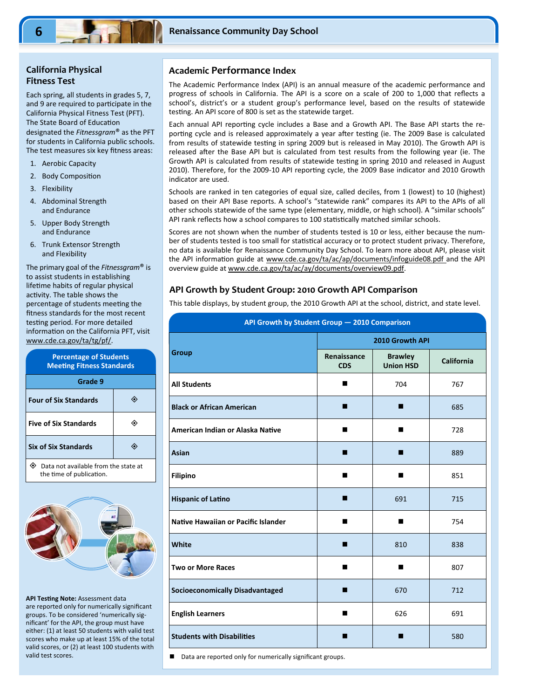# **California Physical Fitness Test**

Each spring, all students in grades 5, 7, and 9 are required to participate in the California Physical Fitness Test (PFT). The State Board of Education designated the *Fitnessgram*® as the PFT for students in California public schools. The test measures six key fitness areas:

- 1. Aerobic Capacity
- 2. Body Composition
- 3. Flexibility
- 4. Abdominal Strength and Endurance
- 5. Upper Body Strength and Endurance
- 6. Trunk Extensor Strength and Flexibility

The primary goal of the *Fitnessgram*® is to assist students in establishing lifetime habits of regular physical activity. The table shows the percentage of students meeting the fitness standards for the most recent testing period. For more detailed information on the California PFT, visit www.cde.ca.gov/ta/tg/pf/.

| <b>Percentage of Students</b><br><b>Meeting Fitness Standards</b> |  |  |  |  |  |  |
|-------------------------------------------------------------------|--|--|--|--|--|--|
| Grade 9                                                           |  |  |  |  |  |  |
| <b>Four of Six Standards</b>                                      |  |  |  |  |  |  |
| <b>Five of Six Standards</b>                                      |  |  |  |  |  |  |
| <b>Six of Six Standards</b>                                       |  |  |  |  |  |  |
| Data not available from the state at<br>the time of publication.  |  |  |  |  |  |  |



**API Testing Note: Assessment data** are reported only for numerically significant groups. To be considered 'numerically significant' for the API, the group must have either: (1) at least 50 students with valid test scores who make up at least 15% of the total valid scores, or (2) at least 100 students with valid test scores.

## **Academic Performance Index**

The Academic Performance Index (API) is an annual measure of the academic performance and progress of schools in California. The API is a score on a scale of 200 to 1,000 that reflects a school's, district's or a student group's performance level, based on the results of statewide testing. An API score of 800 is set as the statewide target.

Each annual API reporting cycle includes a Base and a Growth API. The Base API starts the reporting cycle and is released approximately a year after testing (ie. The 2009 Base is calculated from results of statewide testing in spring 2009 but is released in May 2010). The Growth API is released after the Base API but is calculated from test results from the following year (ie. The Growth API is calculated from results of statewide testing in spring 2010 and released in August 2010). Therefore, for the 2009-10 API reporting cycle, the 2009 Base indicator and 2010 Growth indicator are used.

Schools are ranked in ten categories of equal size, called deciles, from 1 (lowest) to 10 (highest) based on their API Base reports. A school's "statewide rank" compares its API to the APIs of all other schools statewide of the same type (elementary, middle, or high school). A "similar schools" API rank reflects how a school compares to 100 statistically matched similar schools.

Scores are not shown when the number of students tested is 10 or less, either because the number of students tested is too small for statistical accuracy or to protect student privacy. Therefore, no data is available for Renaissance Community Day School. To learn more about API, please visit the API information guide at www.cde.ca.gov/ta/ac/ap/documents/infoguide08.pdf and the API overview guide at www.cde.ca.gov/ta/ac/ay/documents/overview09.pdf.

## **API Growth by Student Group: 2010 Growth API Comparison**

This table displays, by student group, the 2010 Growth API at the school, district, and state level.

| API Growth by Student Group - 2010 Comparison |                           |                                    |                   |  |  |  |  |
|-----------------------------------------------|---------------------------|------------------------------------|-------------------|--|--|--|--|
|                                               | 2010 Growth API           |                                    |                   |  |  |  |  |
| <b>Group</b>                                  | Renaissance<br><b>CDS</b> | <b>Brawley</b><br><b>Union HSD</b> | <b>California</b> |  |  |  |  |
| <b>All Students</b>                           | ■                         | 704                                | 767               |  |  |  |  |
| <b>Black or African American</b>              | п                         | п                                  | 685               |  |  |  |  |
| American Indian or Alaska Native              |                           | п                                  | 728               |  |  |  |  |
| <b>Asian</b>                                  | п                         | п                                  | 889               |  |  |  |  |
| <b>Filipino</b>                               | ■                         | ■                                  | 851               |  |  |  |  |
| <b>Hispanic of Latino</b>                     | п                         | 691                                | 715               |  |  |  |  |
| Native Hawaiian or Pacific Islander           |                           | п                                  | 754               |  |  |  |  |
| White                                         | п                         | 810                                | 838               |  |  |  |  |
| <b>Two or More Races</b>                      |                           | ■                                  | 807               |  |  |  |  |
| <b>Socioeconomically Disadvantaged</b>        | ■                         | 670                                | 712               |  |  |  |  |
| <b>English Learners</b>                       | ■                         | 626                                | 691               |  |  |  |  |
| <b>Students with Disabilities</b>             | п                         | п                                  | 580               |  |  |  |  |

■ Data are reported only for numerically significant groups.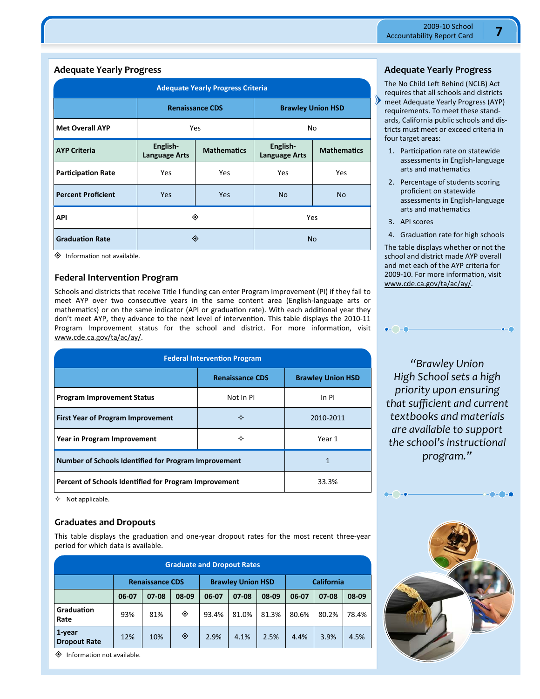## **Adequate Yearly Progress**

| <b>Adequate Yearly Progress Criteria</b> |                                  |                        |                                                        |           |  |  |  |  |
|------------------------------------------|----------------------------------|------------------------|--------------------------------------------------------|-----------|--|--|--|--|
|                                          |                                  | <b>Renaissance CDS</b> | <b>Brawley Union HSD</b>                               |           |  |  |  |  |
| <b>Met Overall AYP</b>                   |                                  | <b>Yes</b>             | No                                                     |           |  |  |  |  |
| <b>AYP Criteria</b>                      | English-<br><b>Language Arts</b> | <b>Mathematics</b>     | English-<br><b>Mathematics</b><br><b>Language Arts</b> |           |  |  |  |  |
| <b>Participation Rate</b>                | Yes                              | Yes                    | Yes                                                    | Yes       |  |  |  |  |
| <b>Percent Proficient</b>                | <b>Yes</b>                       | Yes                    | <b>No</b>                                              | <b>No</b> |  |  |  |  |
| API                                      |                                  | ◈                      | <b>Yes</b>                                             |           |  |  |  |  |
| <b>Graduation Rate</b>                   |                                  | ◈                      | <b>No</b>                                              |           |  |  |  |  |

 $\diamondsuit$  Information not available.

### **Federal Intervention Program**

Schools and districts that receive Title I funding can enter Program Improvement (PI) if they fail to meet AYP over two consecutive years in the same content area (English-language arts or mathematics) or on the same indicator (API or graduation rate). With each additional year they don't meet AYP, they advance to the next level of intervention. This table displays the 2010-11 Program Improvement status for the school and district. For more information, visit www.cde.ca.gov/ta/ac/ay/.

|                                                       | <b>Federal Intervention Program</b><br><b>Renaissance CDS</b><br>Not In PI<br>In PI<br>✧<br>2010-2011<br>✧<br>Year 1<br>1 |                          |  |  |  |
|-------------------------------------------------------|---------------------------------------------------------------------------------------------------------------------------|--------------------------|--|--|--|
|                                                       |                                                                                                                           | <b>Brawley Union HSD</b> |  |  |  |
| <b>Program Improvement Status</b>                     |                                                                                                                           |                          |  |  |  |
| <b>First Year of Program Improvement</b>              |                                                                                                                           |                          |  |  |  |
| Year in Program Improvement                           |                                                                                                                           |                          |  |  |  |
|                                                       | Number of Schools Identified for Program Improvement                                                                      |                          |  |  |  |
| Percent of Schools Identified for Program Improvement |                                                                                                                           | 33.3%                    |  |  |  |

Not applicable.

## **Graduates and Dropouts**

This table displays the graduation and one-year dropout rates for the most recent three-year period for which data is available.

| <b>Graduate and Dropout Rates</b> |                        |       |       |       |                          |       |       |                   |       |  |
|-----------------------------------|------------------------|-------|-------|-------|--------------------------|-------|-------|-------------------|-------|--|
|                                   | <b>Renaissance CDS</b> |       |       |       | <b>Brawley Union HSD</b> |       |       | <b>California</b> |       |  |
|                                   | 06-07                  | 07-08 | 08-09 | 06-07 | $07-08$                  | 08-09 | 06-07 | $07-08$           | 08-09 |  |
| Graduation<br>Rate                | 93%                    | 81%   | ◈     | 93.4% | 81.0%                    | 81.3% | 80.6% | 80.2%             | 78.4% |  |
| 1-year<br><b>Dropout Rate</b>     | 12%                    | 10%   | ◈     | 2.9%  | 4.1%                     | 2.5%  | 4.4%  | 3.9%              | 4.5%  |  |

 $\diamondsuit$  Information not available.

## **Adequate Yearly Progress**

The No Child Left Behind (NCLB) Act requires that all schools and districts meet Adequate Yearly Progress (AYP) requirements. To meet these standards, California public schools and districts must meet or exceed criteria in four target areas:

- 1. Participation rate on statewide assessments in English-language arts and mathematics
- 2. Percentage of students scoring proficient on statewide assessments in English-language arts and mathematics
- 3. API scores

 $\bullet$  - $\bigcirc$  -a

4. Graduation rate for high schools

The table displays whether or not the school and district made AYP overall and met each of the AYP criteria for 2009-10. For more information, visit www.cde.ca.gov/ta/ac/ay/.

*"Brawley Union High School sets a high priority upon ensuring that sufficient and current textbooks and materials are available to support the school's instructional program."* 

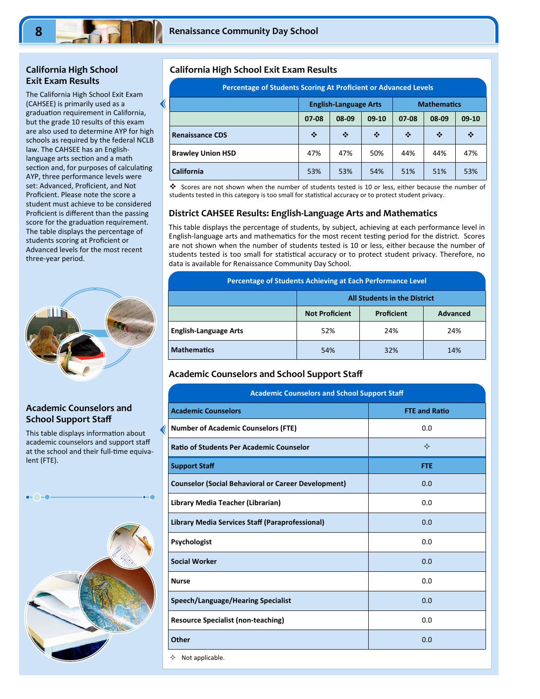## **California High School Exit Exam Results**

The California High School Exit Exam (CAHSEE) is primarily used as a graduation requirement in California, but the grade 10 results of this exam are also used to determine AYP for high schools as required by the federal NCLB law. The CAHSEE has an Englishlanguage arts section and a math section and, for purposes of calculating AYP, three performance levels were set: Advanced, Proficient, and Not Proficient. Please note the score a student must achieve to be considered Proficient is different than the passing score for the graduation requirement. The table displays the percentage of students scoring at Proficient or Advanced levels for the most recent three-year period.



# **Academic Counselors and School Support Staff**

This table displays information about academic counselors and support staff at the school and their full-time equivalent (FTE).



## **California High School Exit Exam Results**

|                          | Percentage of Students Scoring At Proficient or Advanced Levels |                              |         |                    |       |         |  |  |
|--------------------------|-----------------------------------------------------------------|------------------------------|---------|--------------------|-------|---------|--|--|
|                          |                                                                 | <b>English-Language Arts</b> |         | <b>Mathematics</b> |       |         |  |  |
|                          | $07-08$                                                         | 08-09                        | $09-10$ | 07-08              | 08-09 | $09-10$ |  |  |
| <b>Renaissance CDS</b>   | ❖                                                               | ❖                            | ❖       | ❖                  | ❖     | ❖       |  |  |
| <b>Brawley Union HSD</b> | 47%                                                             | 47%                          | 50%     | 44%                | 44%   | 47%     |  |  |
| <b>California</b>        | 53%                                                             | 53%                          | 54%     | 51%                | 51%   | 53%     |  |  |

 Scores are not shown when the number of students tested is 10 or less, either because the number of students tested in this category is too small for statistical accuracy or to protect student privacy.

## **District CAHSEE Results: English‐Language Arts and Mathematics**

This table displays the percentage of students, by subject, achieving at each performance level in English-language arts and mathematics for the most recent testing period for the district. Scores are not shown when the number of students tested is 10 or less, either because the number of students tested is too small for statistical accuracy or to protect student privacy. Therefore, no data is available for Renaissance Community Day School.

| Percentage of Students Achieving at Each Performance Level |                                                        |     |     |  |  |
|------------------------------------------------------------|--------------------------------------------------------|-----|-----|--|--|
| <b>All Students in the District</b>                        |                                                        |     |     |  |  |
|                                                            | <b>Not Proficient</b><br>Proficient<br><b>Advanced</b> |     |     |  |  |
| <b>English-Language Arts</b>                               | 52%                                                    | 24% | 24% |  |  |
| <b>Mathematics</b>                                         | 54%                                                    | 32% | 14% |  |  |

## **Academic Counselors and School Support Staff**

| <b>Academic Counselors and School Support Staff</b>        |                      |  |
|------------------------------------------------------------|----------------------|--|
| <b>Academic Counselors</b>                                 | <b>FTE and Ratio</b> |  |
| <b>Number of Academic Counselors (FTE)</b>                 | 0.0                  |  |
| <b>Ratio of Students Per Academic Counselor</b>            | ✧                    |  |
| <b>Support Staff</b>                                       | <b>FTE</b>           |  |
| <b>Counselor (Social Behavioral or Career Development)</b> | 0.0                  |  |
| Library Media Teacher (Librarian)                          | 0.0                  |  |
| Library Media Services Staff (Paraprofessional)            | 0.0                  |  |
| Psychologist                                               | 0.0                  |  |
| <b>Social Worker</b>                                       | 0.0                  |  |
| <b>Nurse</b>                                               | 0.0                  |  |
| Speech/Language/Hearing Specialist                         | 0.0                  |  |
| <b>Resource Specialist (non-teaching)</b>                  | 0.0                  |  |
| Other                                                      | 0.0                  |  |
| Not applicable.<br>✧                                       |                      |  |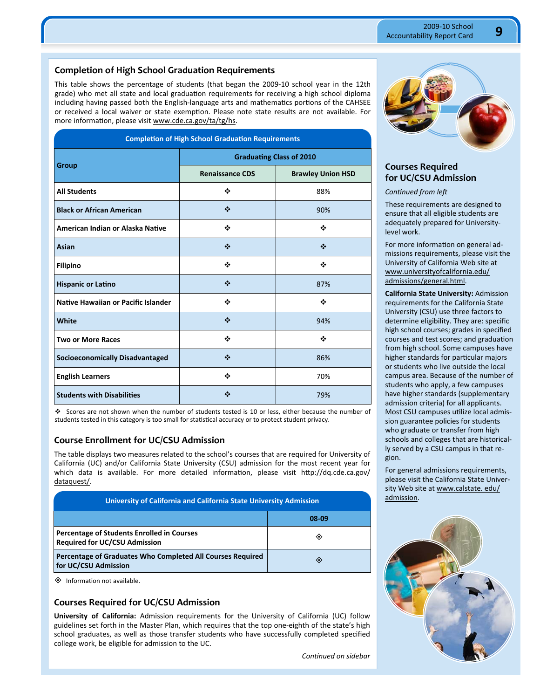## **Completion of High School Graduation Requirements**

This table shows the percentage of students (that began the 2009-10 school year in the 12th grade) who met all state and local graduation requirements for receiving a high school diploma including having passed both the English-language arts and mathematics portions of the CAHSEE or received a local waiver or state exemption. Please note state results are not available. For more information, please visit www.cde.ca.gov/ta/tg/hs.

| <b>Completion of High School Graduation Requirements</b> |                                                    |     |  |
|----------------------------------------------------------|----------------------------------------------------|-----|--|
|                                                          | <b>Graduating Class of 2010</b>                    |     |  |
| Group                                                    | <b>Renaissance CDS</b><br><b>Brawley Union HSD</b> |     |  |
| <b>All Students</b>                                      | ❖                                                  | 88% |  |
| <b>Black or African American</b>                         | ❖                                                  | 90% |  |
| American Indian or Alaska Native                         | ❖                                                  | ❖   |  |
| Asian                                                    | ❖                                                  | ❖   |  |
| <b>Filipino</b>                                          | ❖                                                  | ❖   |  |
| <b>Hispanic or Latino</b>                                | ❖                                                  | 87% |  |
| Native Hawaiian or Pacific Islander                      | ❖                                                  | ٠   |  |
| White                                                    | ❖                                                  | 94% |  |
| <b>Two or More Races</b>                                 | ❖                                                  | ❖   |  |
| <b>Socioeconomically Disadvantaged</b>                   | ❖                                                  | 86% |  |
| <b>English Learners</b>                                  | ❖                                                  | 70% |  |
| <b>Students with Disabilities</b>                        | ❖                                                  | 79% |  |

 Scores are not shown when the number of students tested is 10 or less, either because the number of students tested in this category is too small for statistical accuracy or to protect student privacy.

#### **Course Enrollment for UC/CSU Admission**

The table displays two measures related to the school's courses that are required for University of California (UC) and/or California State University (CSU) admission for the most recent year for which data is available. For more detailed information, please visit http://dq.cde.ca.gov/ dataquest/.

| University of California and California State University Admission                        |       |  |
|-------------------------------------------------------------------------------------------|-------|--|
|                                                                                           | 08-09 |  |
| <b>Percentage of Students Enrolled in Courses</b><br><b>Required for UC/CSU Admission</b> | ◈     |  |
| Percentage of Graduates Who Completed All Courses Required<br>for UC/CSU Admission        | ◈     |  |

 $\diamondsuit$  Information not available.

## **Courses Required for UC/CSU Admission**

**University of California:** Admission requirements for the University of California (UC) follow guidelines set forth in the Master Plan, which requires that the top one-eighth of the state's high school graduates, as well as those transfer students who have successfully completed specified college work, be eligible for admission to the UC.



# **Courses Required for UC/CSU Admission**

*<u>Continued</u>* from left

These requirements are designed to ensure that all eligible students are adequately prepared for Universitylevel work.

For more information on general admissions requirements, please visit the University of California Web site at www.universityofcalifornia.edu/ admissions/general.html.

**California State University:** Admission requirements for the California State University (CSU) use three factors to determine eligibility. They are: specific high school courses; grades in specified courses and test scores; and graduation from high school. Some campuses have higher standards for particular majors or students who live outside the local campus area. Because of the number of students who apply, a few campuses have higher standards (supplementary admission criteria) for all applicants. Most CSU campuses utilize local admission guarantee policies for students who graduate or transfer from high schools and colleges that are historically served by a CSU campus in that region.

For general admissions requirements, please visit the California State University Web site at www.calstate. edu/ admission.



*ConƟnued on sidebar*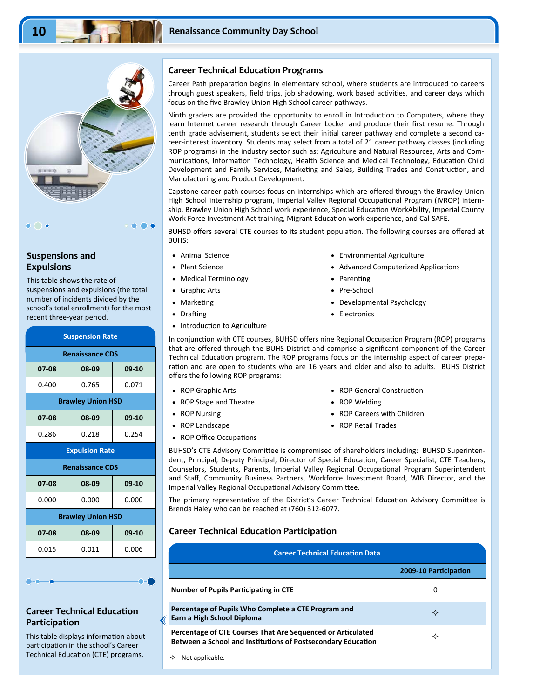

## **Suspensions and Expulsions**

This table shows the rate of suspensions and expulsions (the total number of incidents divided by the school's total enrollment) for the most recent three-year period.

| <b>Suspension Rate</b> |                          |       |  |  |
|------------------------|--------------------------|-------|--|--|
|                        | <b>Renaissance CDS</b>   |       |  |  |
| 07-08                  | 08-09                    | 09-10 |  |  |
| 0.400                  | 0.765                    | 0.071 |  |  |
|                        | <b>Brawley Union HSD</b> |       |  |  |
| 07-08                  | 08-09                    | 09-10 |  |  |
| 0.286                  | 0.218                    | 0.254 |  |  |
| <b>Expulsion Rate</b>  |                          |       |  |  |
|                        |                          |       |  |  |
|                        | <b>Renaissance CDS</b>   |       |  |  |
| 07-08                  | 08-09                    | 09-10 |  |  |
| 0.000                  | 0.000                    | 0.000 |  |  |
|                        | <b>Brawley Union HSD</b> |       |  |  |
| 07-08                  | 08-09                    | 09-10 |  |  |

# **Career Technical Education Participation**

This table displays information about participation in the school's Career Technical Education (CTE) programs.  $\rightarrow$  Not applicable.

## **Career Technical Education Programs**

Career Path preparation begins in elementary school, where students are introduced to careers through guest speakers, field trips, job shadowing, work based activities, and career days which focus on the five Brawley Union High School career pathways.

Ninth graders are provided the opportunity to enroll in Introduction to Computers, where they learn Internet career research through Career Locker and produce their first resume. Through tenth grade advisement, students select their initial career pathway and complete a second career-interest inventory. Students may select from a total of 21 career pathway classes (including ROP programs) in the industry sector such as: Agriculture and Natural Resources, Arts and Communications, Information Technology, Health Science and Medical Technology, Education Child Development and Family Services, Marketing and Sales, Building Trades and Construction, and Manufacturing and Product Development.

Capstone career path courses focus on internships which are offered through the Brawley Union High School internship program, Imperial Valley Regional Occupational Program (IVROP) internship, Brawley Union High School work experience, Special Education WorkAbility, Imperial County Work Force Investment Act training, Migrant Education work experience, and Cal-SAFE.

BUHSD offers several CTE courses to its student population. The following courses are offered at BUHS:

- Animal Science
- Plant Science
- Medical Terminology
- Graphic Arts
- **Marketing**
- Drafting
- Introduction to Agriculture
- Environmental Agriculture
- Advanced Computerized Applications
- Parenting
- Pre-School
- Developmental Psychology
- Electronics

In conjunction with CTE courses, BUHSD offers nine Regional Occupation Program (ROP) programs that are offered through the BUHS District and comprise a significant component of the Career Technical Education program. The ROP programs focus on the internship aspect of career preparation and are open to students who are 16 years and older and also to adults. BUHS District offers the following ROP programs:

- ROP Graphic Arts
- ROP Stage and Theatre
- ROP Nursing
- ROP Landscape
- ROP Office Occupations
- ROP General Construction
- ROP Welding
- ROP Careers with Children
- ROP Retail Trades

BUHSD's CTE Advisory Committee is compromised of shareholders including: BUHSD Superintendent, Principal, Deputy Principal, Director of Special Education, Career Specialist, CTE Teachers, Counselors, Students, Parents, Imperial Valley Regional Occupational Program Superintendent and Staff, Community Business Partners, Workforce Investment Board, WIB Director, and the Imperial Valley Regional Occupational Advisory Committee.

The primary representative of the District's Career Technical Education Advisory Committee is Brenda Haley who can be reached at (760) 312-6077.

## **Career Technical Education Participation**

| <b>Career Technical Education Data</b>                                                                                      |                       |  |
|-----------------------------------------------------------------------------------------------------------------------------|-----------------------|--|
|                                                                                                                             | 2009-10 Participation |  |
| <b>Number of Pupils Participating in CTE</b>                                                                                | 0                     |  |
| Percentage of Pupils Who Complete a CTE Program and<br>Earn a High School Diploma                                           | ✧                     |  |
| Percentage of CTE Courses That Are Sequenced or Articulated<br>Between a School and Institutions of Postsecondary Education |                       |  |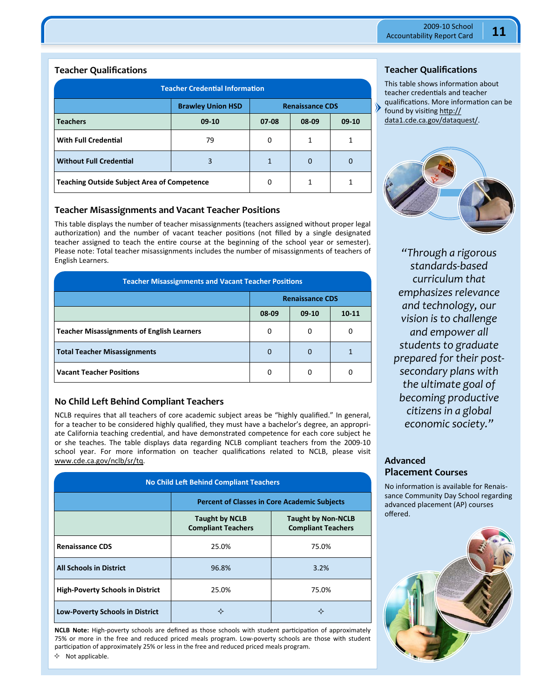## **Teacher Qualifications**

| <b>Teacher Credential Information</b>              |         |       |             |         |
|----------------------------------------------------|---------|-------|-------------|---------|
| <b>Brawley Union HSD</b><br><b>Renaissance CDS</b> |         |       |             |         |
| <b>Teachers</b>                                    | $09-10$ | 07-08 | 08-09       | $09-10$ |
| <b>With Full Credential</b>                        | 79      | 0     | 1           | 1       |
| <b>Without Full Credential</b>                     | 3       | 1     | $\mathbf 0$ |         |
| <b>Teaching Outside Subject Area of Competence</b> | 0       | 1     |             |         |

### **Teacher Misassignments and Vacant Teacher Positions**

This table displays the number of teacher misassignments (teachers assigned without proper legal authorization) and the number of vacant teacher positions (not filled by a single designated teacher assigned to teach the entire course at the beginning of the school year or semester). Please note: Total teacher misassignments includes the number of misassignments of teachers of English Learners.

| <b>Teacher Misassignments and Vacant Teacher Positions</b> |          |         |           |
|------------------------------------------------------------|----------|---------|-----------|
| <b>Renaissance CDS</b>                                     |          |         |           |
|                                                            | 08-09    | $09-10$ | $10 - 11$ |
| <b>Teacher Misassignments of English Learners</b>          | 0        | 0       | 0         |
| <b>Total Teacher Misassignments</b>                        | $\Omega$ | 0       |           |
| <b>Vacant Teacher Positions</b>                            | O        | 0       |           |

## **No Child Left Behind Compliant Teachers**

NCLB requires that all teachers of core academic subject areas be "highly qualified." In general, for a teacher to be considered highly qualified, they must have a bachelor's degree, an appropriate California teaching credential, and have demonstrated competence for each core subject he or she teaches. The table displays data regarding NCLB compliant teachers from the 2009-10 school year. For more information on teacher qualifications related to NCLB, please visit www.cde.ca.gov/nclb/sr/tq.

| <b>No Child Left Behind Compliant Teachers</b> |                                                                                                              |       |  |  |
|------------------------------------------------|--------------------------------------------------------------------------------------------------------------|-------|--|--|
|                                                | <b>Percent of Classes in Core Academic Subjects</b>                                                          |       |  |  |
|                                                | <b>Taught by NCLB</b><br><b>Taught by Non-NCLB</b><br><b>Compliant Teachers</b><br><b>Compliant Teachers</b> |       |  |  |
| <b>Renaissance CDS</b>                         | 25.0%                                                                                                        | 75.0% |  |  |
| <b>All Schools in District</b>                 | 96.8%                                                                                                        | 3.2%  |  |  |
| <b>High-Poverty Schools in District</b>        | 25.0%                                                                                                        | 75.0% |  |  |
| <b>Low-Poverty Schools in District</b>         | ✧                                                                                                            | ✧     |  |  |

**NCLB Note:** High-poverty schools are defined as those schools with student participation of approximately 75% or more in the free and reduced priced meals program. Low-poverty schools are those with student participation of approximately 25% or less in the free and reduced priced meals program.  $\lozenge$  Not applicable.

## **Teacher Qualifications**

This table shows information about teacher credentials and teacher qualifications. More information can be found by visiting http:// data1.cde.ca.gov/dataquest/.



*"Through a rigorous standards‐based curriculum that emphasizes relevance and technology, our vision is to challenge and empower all students to graduate prepared for their post‐ secondary plans with the ultimate goal of becoming productive citizens in a global economic society."* 

# **Advanced Placement Courses**

No information is available for Renaissance Community Day School regarding advanced placement (AP) courses offered.